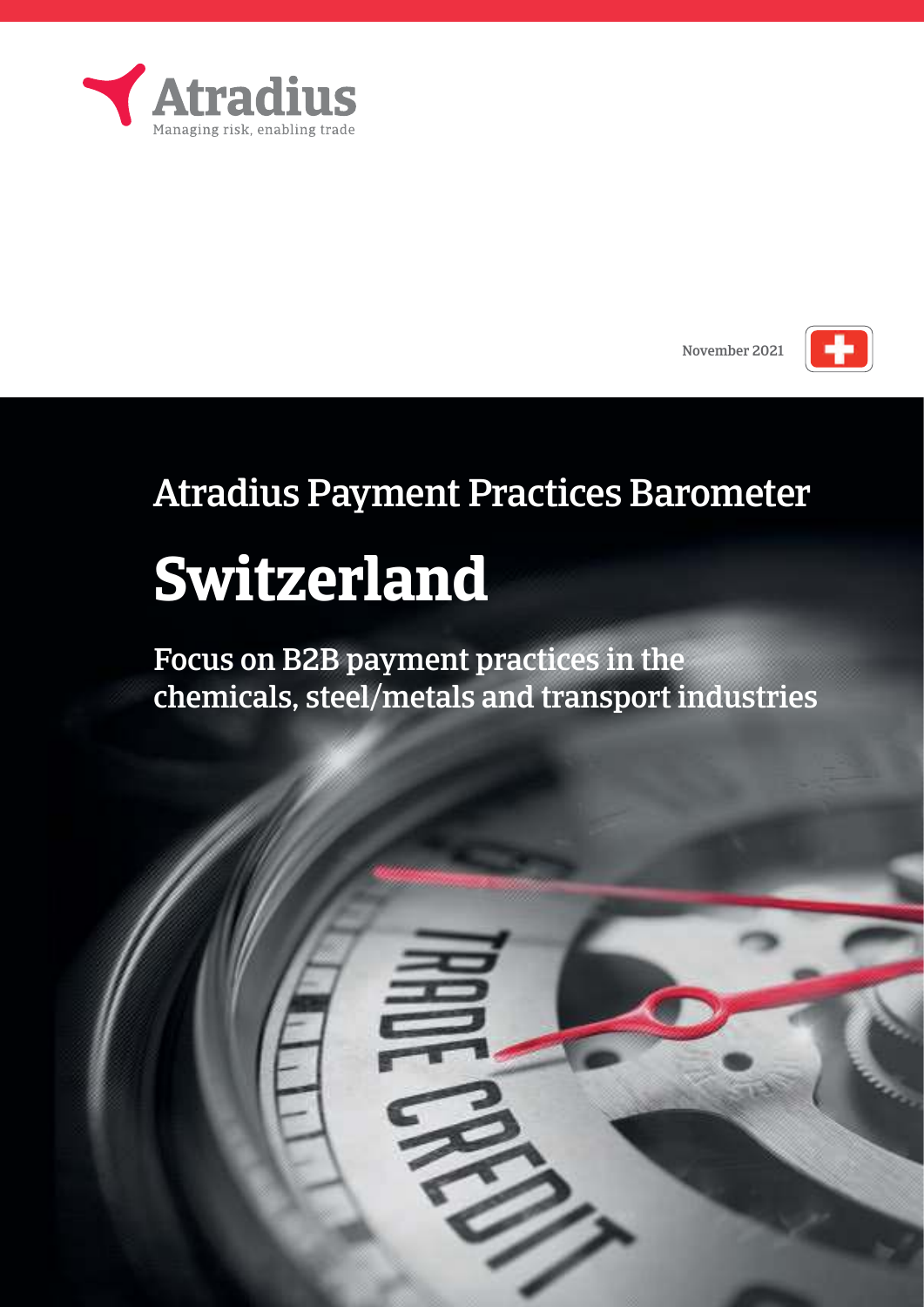





## Atradius Payment Practices Barometer

# **Switzerland**

Focus on B2B payment practices in the chemicals, steel/metals and transport industries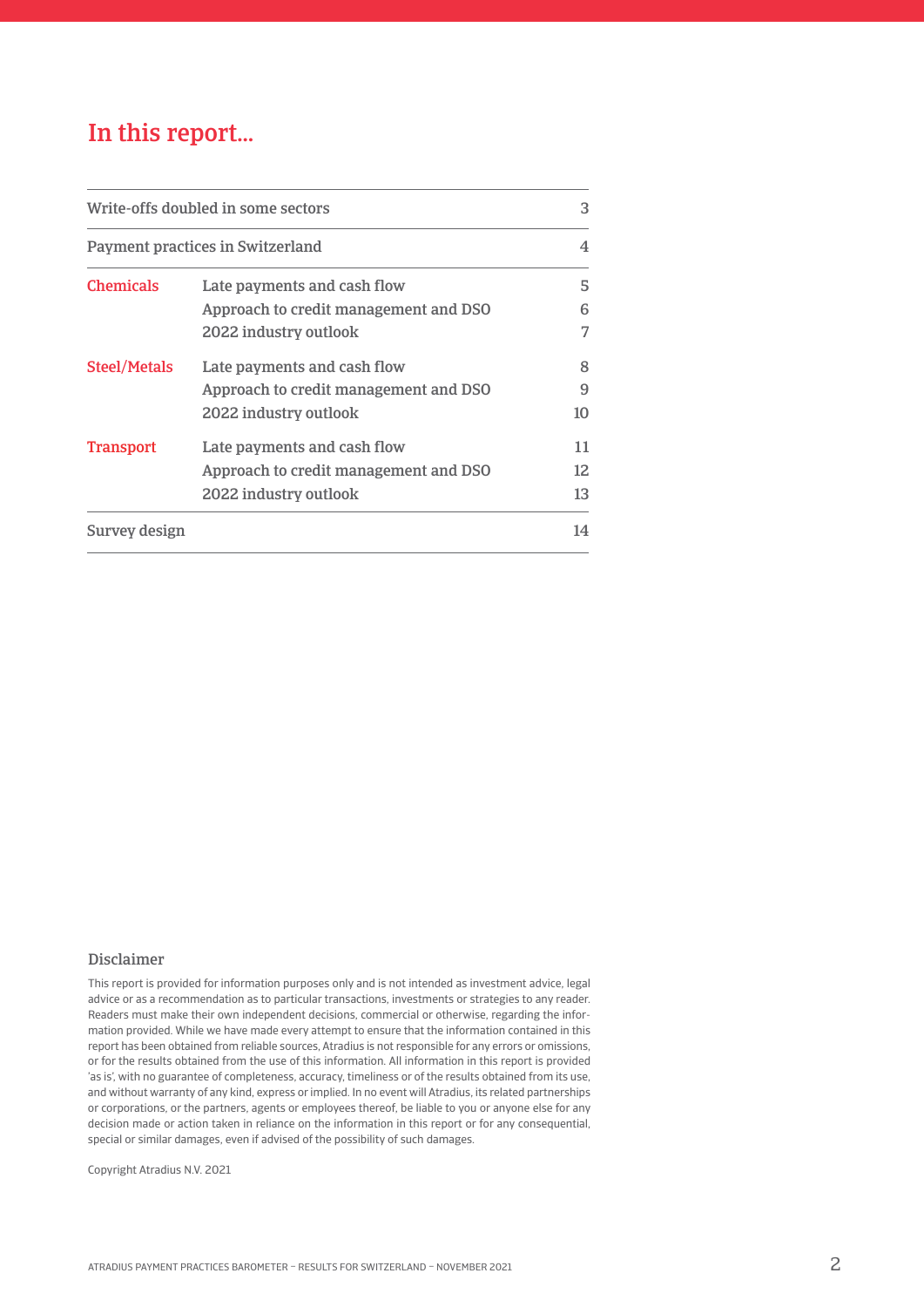## In this report…

| Write-offs doubled in some sectors<br>Payment practices in Switzerland |                                       | 3<br>4 |
|------------------------------------------------------------------------|---------------------------------------|--------|
|                                                                        |                                       |        |
|                                                                        | Approach to credit management and DSO | 6      |
|                                                                        | 2022 industry outlook                 | 7      |
| <b>Steel/Metals</b>                                                    | Late payments and cash flow           | 8      |
|                                                                        | Approach to credit management and DSO | 9      |
|                                                                        | 2022 industry outlook                 | 10     |
| <b>Transport</b>                                                       | Late payments and cash flow           | 11     |
|                                                                        | Approach to credit management and DSO | 12     |
|                                                                        | 2022 industry outlook                 | 13     |
| Survey design                                                          |                                       | 14     |

#### Disclaimer

This report is provided for information purposes only and is not intended as investment advice, legal advice or as a recommendation as to particular transactions, investments or strategies to any reader. Readers must make their own independent decisions, commercial or otherwise, regarding the information provided. While we have made every attempt to ensure that the information contained in this report has been obtained from reliable sources, Atradius is not responsible for any errors or omissions, or for the results obtained from the use of this information. All information in this report is provided 'as is', with no guarantee of completeness, accuracy, timeliness or of the results obtained from its use, and without warranty of any kind, express or implied. In no event will Atradius, its related partnerships or corporations, or the partners, agents or employees thereof, be liable to you or anyone else for any decision made or action taken in reliance on the information in this report or for any consequential, special or similar damages, even if advised of the possibility of such damages.

Copyright Atradius N.V. 2021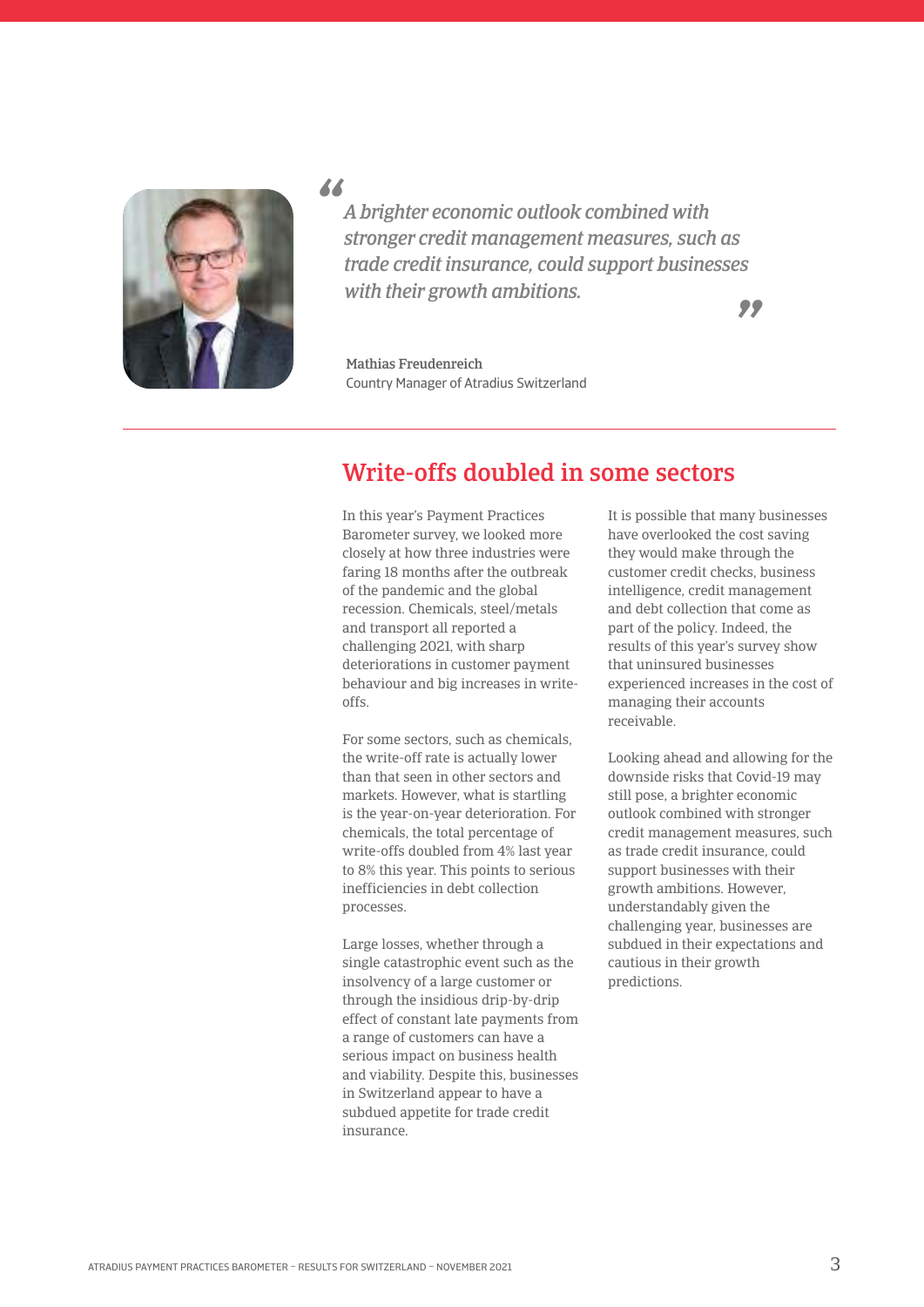

*"*

*A brighter economic outlook combined with stronger credit management measures, such as trade credit insurance, could support businesses with their growth ambitions.*

*"*

Mathias Freudenreich Country manager of Atradius switzerland

## Write-offs doubled in some sectors

In this year's Payment Practices Barometer survey, we looked more closely at how three industries were faring 18 months after the outbreak of the pandemic and the global recession. Chemicals, steel/metals and transport all reported a challenging 2021, with sharp deteriorations in customer payment behaviour and big increases in writeoffs.

For some sectors, such as chemicals, the write-off rate is actually lower than that seen in other sectors and markets. However, what is startling is the year-on-year deterioration. For chemicals, the total percentage of write-offs doubled from 4% last year to 8% this year. This points to serious inefficiencies in debt collection processes.

Large losses, whether through a single catastrophic event such as the insolvency of a large customer or through the insidious drip-by-drip effect of constant late payments from a range of customers can have a serious impact on business health and viability. Despite this, businesses in Switzerland appear to have a subdued appetite for trade credit insurance.

It is possible that many businesses have overlooked the cost saving they would make through the customer credit checks, business intelligence, credit management and debt collection that come as part of the policy. Indeed, the results of this year's survey show that uninsured businesses experienced increases in the cost of managing their accounts receivable.

Looking ahead and allowing for the downside risks that Covid-19 may still pose, a brighter economic outlook combined with stronger credit management measures, such as trade credit insurance, could support businesses with their growth ambitions. However, understandably given the challenging year, businesses are subdued in their expectations and cautious in their growth predictions.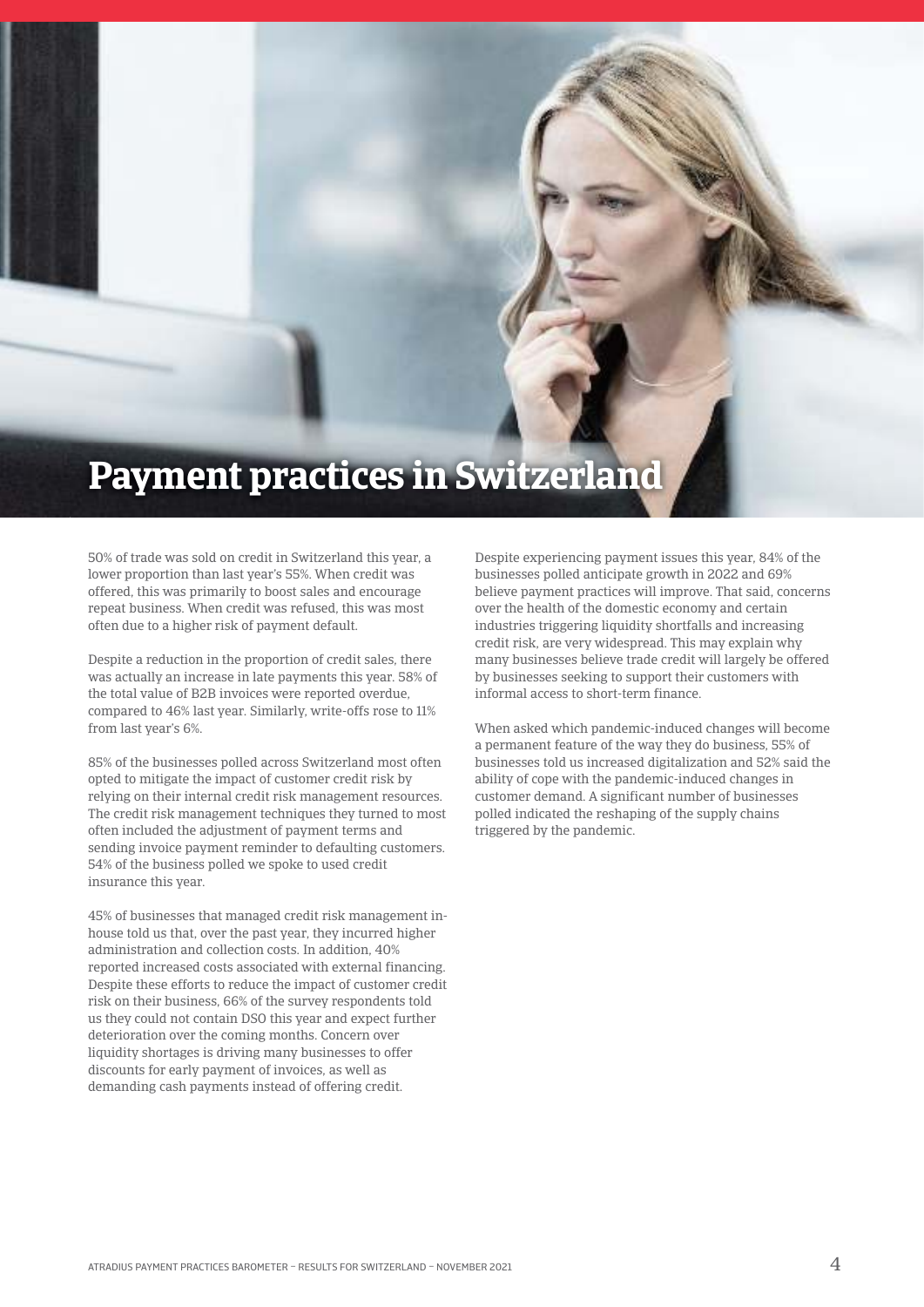## **Payment practices in Switzerland**

50% of trade was sold on credit in Switzerland this year, a lower proportion than last year's 55%. When credit was offered, this was primarily to boost sales and encourage repeat business. When credit was refused, this was most often due to a higher risk of payment default.

Despite a reduction in the proportion of credit sales, there was actually an increase in late payments this year. 58% of the total value of B2B invoices were reported overdue, compared to 46% last year. Similarly, write-offs rose to 11% from last year's 6%.

85% of the businesses polled across Switzerland most often opted to mitigate the impact of customer credit risk by relying on their internal credit risk management resources. The credit risk management techniques they turned to most often included the adjustment of payment terms and sending invoice payment reminder to defaulting customers. 54% of the business polled we spoke to used credit insurance this year.

45% of businesses that managed credit risk management inhouse told us that, over the past year, they incurred higher administration and collection costs. In addition, 40% reported increased costs associated with external financing. Despite these efforts to reduce the impact of customer credit risk on their business, 66% of the survey respondents told us they could not contain DSO this year and expect further deterioration over the coming months. Concern over liquidity shortages is driving many businesses to offer discounts for early payment of invoices, as well as demanding cash payments instead of offering credit.

Despite experiencing payment issues this year, 84% of the businesses polled anticipate growth in 2022 and 69% believe payment practices will improve. That said, concerns over the health of the domestic economy and certain industries triggering liquidity shortfalls and increasing credit risk, are very widespread. This may explain why many businesses believe trade credit will largely be offered by businesses seeking to support their customers with informal access to short-term finance.

When asked which pandemic-induced changes will become a permanent feature of the way they do business, 55% of businesses told us increased digitalization and 52% said the ability of cope with the pandemic-induced changes in customer demand. A significant number of businesses polled indicated the reshaping of the supply chains triggered by the pandemic.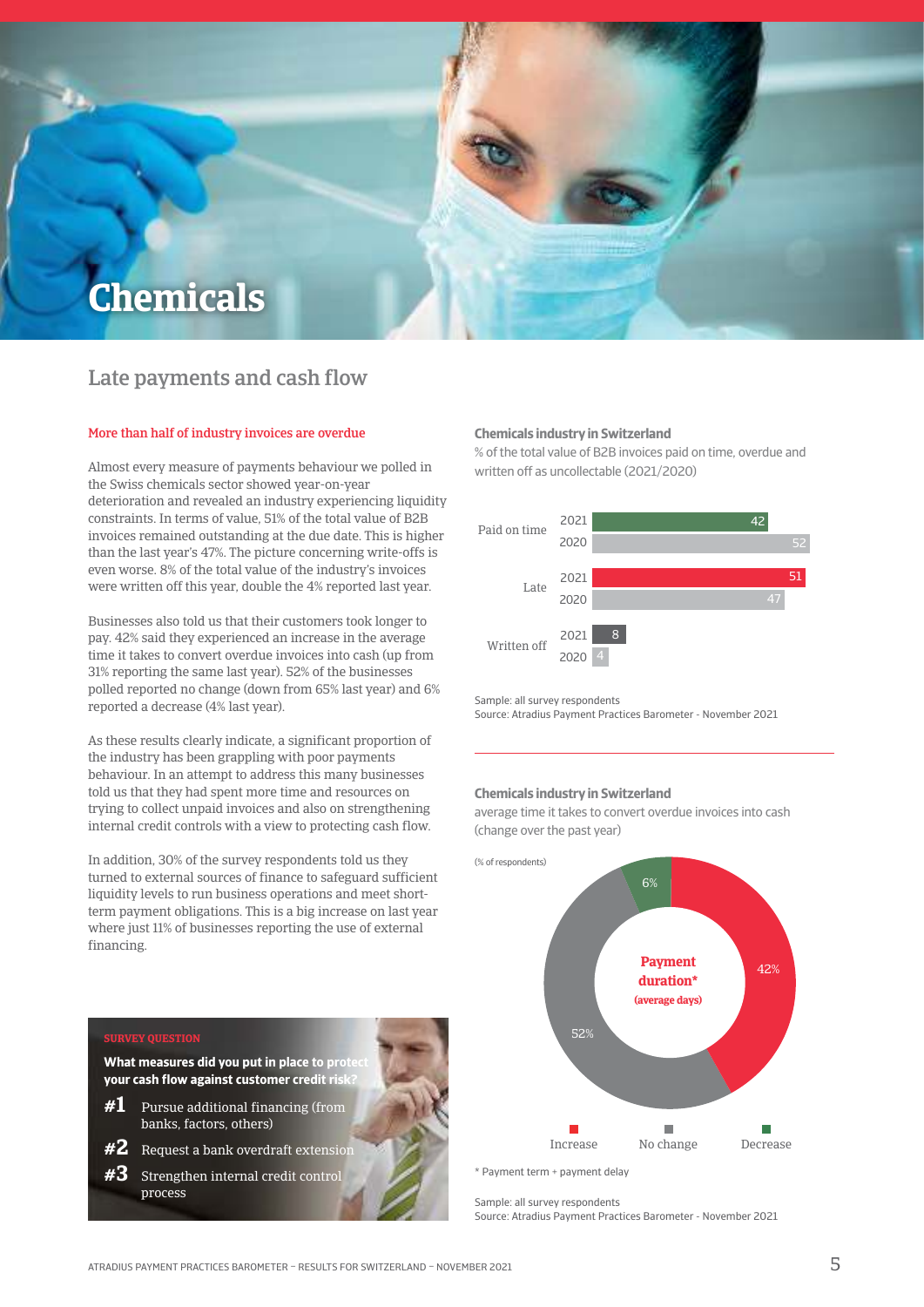

### Late payments and cash flow

#### More than half of industry invoices are overdue

Almost every measure of payments behaviour we polled in the Swiss chemicals sector showed year-on-year deterioration and revealed an industry experiencing liquidity constraints. In terms of value, 51% of the total value of B2B invoices remained outstanding at the due date. This is higher than the last year's 47%. The picture concerning write-offs is even worse. 8% of the total value of the industry's invoices were written off this year, double the 4% reported last year.

Businesses also told us that their customers took longer to pay. 42% said they experienced an increase in the average time it takes to convert overdue invoices into cash (up from 31% reporting the same last year). 52% of the businesses polled reported no change (down from 65% last year) and 6% reported a decrease (4% last year).

As these results clearly indicate, a significant proportion of the industry has been grappling with poor payments behaviour. In an attempt to address this many businesses told us that they had spent more time and resources on trying to collect unpaid invoices and also on strengthening internal credit controls with a view to protecting cash flow.

In addition, 30% of the survey respondents told us they turned to external sources of finance to safeguard sufficient liquidity levels to run business operations and meet shortterm payment obligations. This is a big increase on last year where just 11% of businesses reporting the use of external financing.

#### **Chemicals industry in Switzerland**

% of the total value of B2B invoices paid on time, overdue and written off as uncollectable (2021/2020)



sample: all survey respondents source: Atradius Payment Practices Barometer - November 2021

#### **Chemicals industry in Switzerland**

average time it takes to convert overdue invoices into cash (change over the past year)



sample: all survey respondents source: Atradius Payment Practices Barometer - November 2021

#### **Survey queStion**

**What measures did you put in place to prot your cash flow against customer credit risk** 

- **#1** Pursue additional financing (from banks, factors, others)
- **#2** Request a bank overdraft extension
- **#3** Strengthen internal credit control process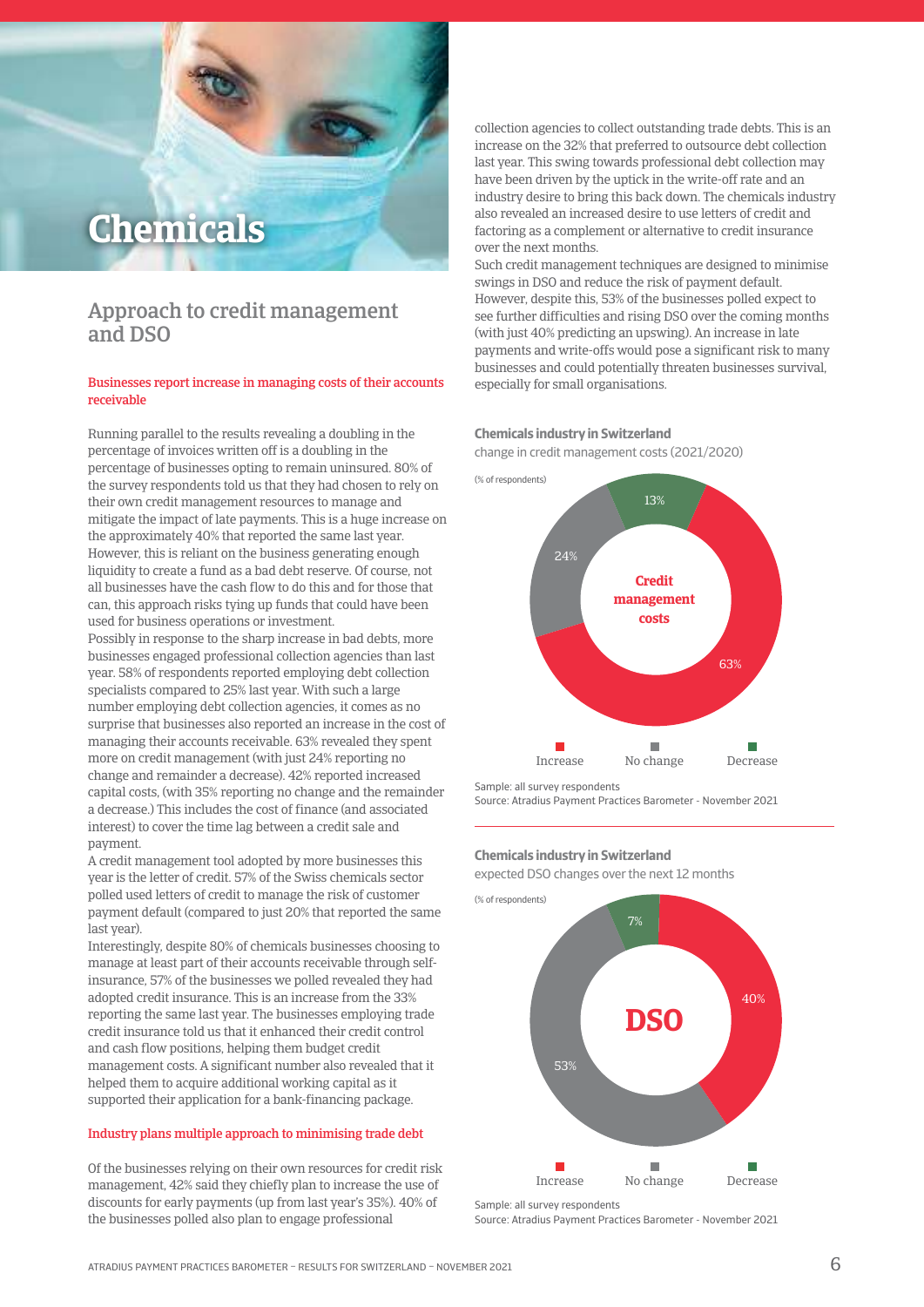## **Chemicals**

### Approach to credit management and DSO

#### Businesses report increase in managing costs of their accounts receivable

Running parallel to the results revealing a doubling in the percentage of invoices written off is a doubling in the percentage of businesses opting to remain uninsured. 80% of the survey respondents told us that they had chosen to rely on their own credit management resources to manage and mitigate the impact of late payments. This is a huge increase on the approximately 40% that reported the same last year. However, this is reliant on the business generating enough liquidity to create a fund as a bad debt reserve. Of course, not all businesses have the cash flow to do this and for those that can, this approach risks tying up funds that could have been used for business operations or investment.

Possibly in response to the sharp increase in bad debts, more businesses engaged professional collection agencies than last year. 58% of respondents reported employing debt collection specialists compared to 25% last year. With such a large number employing debt collection agencies, it comes as no surprise that businesses also reported an increase in the cost of managing their accounts receivable. 63% revealed they spent more on credit management (with just 24% reporting no change and remainder a decrease). 42% reported increased capital costs, (with 35% reporting no change and the remainder a decrease.) This includes the cost of finance (and associated interest) to cover the time lag between a credit sale and payment.

A credit management tool adopted by more businesses this year is the letter of credit. 57% of the Swiss chemicals sector polled used letters of credit to manage the risk of customer payment default (compared to just 20% that reported the same last year).

Interestingly, despite 80% of chemicals businesses choosing to manage at least part of their accounts receivable through selfinsurance, 57% of the businesses we polled revealed they had adopted credit insurance. This is an increase from the 33% reporting the same last year. The businesses employing trade credit insurance told us that it enhanced their credit control and cash flow positions, helping them budget credit management costs. A significant number also revealed that it helped them to acquire additional working capital as it supported their application for a bank-financing package.

#### Industry plans multiple approach to minimising trade debt

Of the businesses relying on their own resources for credit risk management, 42% said they chiefly plan to increase the use of discounts for early payments (up from last year's 35%). 40% of the businesses polled also plan to engage professional

collection agencies to collect outstanding trade debts. This is an increase on the 32% that preferred to outsource debt collection last year. This swing towards professional debt collection may have been driven by the uptick in the write-off rate and an industry desire to bring this back down. The chemicals industry also revealed an increased desire to use letters of credit and factoring as a complement or alternative to credit insurance over the next months.

Such credit management techniques are designed to minimise swings in DSO and reduce the risk of payment default. However, despite this, 53% of the businesses polled expect to see further difficulties and rising DSO over the coming months (with just 40% predicting an upswing). An increase in late payments and write-offs would pose a significant risk to many businesses and could potentially threaten businesses survival, especially for small organisations.

#### **Chemicals industry in Switzerland**

change in credit management costs (2021/2020)



sample: all survey respondents

source: Atradius Payment Practices Barometer - November 2021

#### **Chemicals industry in Switzerland**

expected DSO changes over the next 12 months



sample: all survey respondents

source: Atradius Payment Practices Barometer - November 2021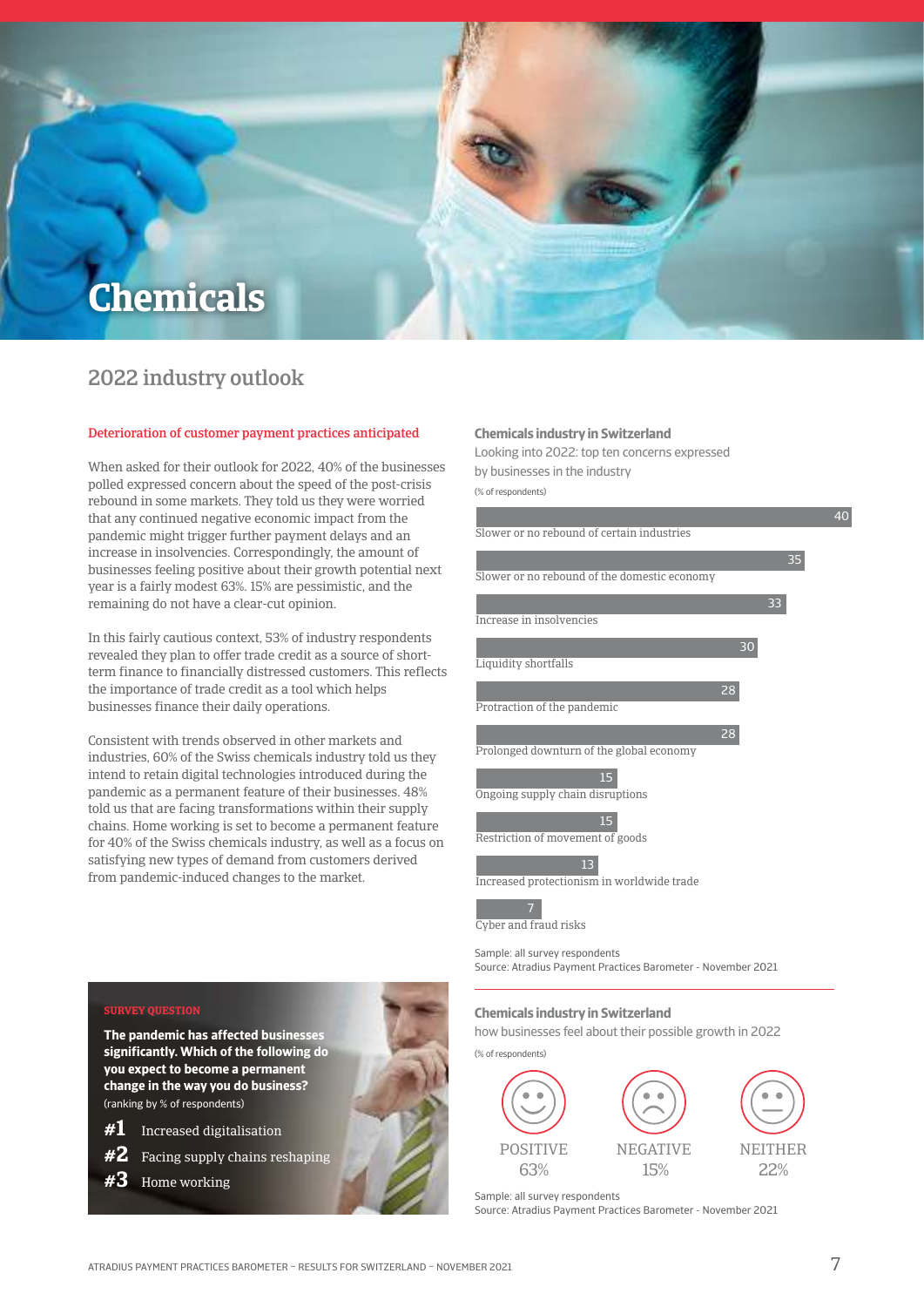

## 2022 industry outlook

#### Deterioration of customer payment practices anticipated

When asked for their outlook for 2022, 40% of the businesses polled expressed concern about the speed of the post-crisis rebound in some markets. They told us they were worried that any continued negative economic impact from the pandemic might trigger further payment delays and an increase in insolvencies. Correspondingly, the amount of businesses feeling positive about their growth potential next year is a fairly modest 63%. 15% are pessimistic, and the remaining do not have a clear-cut opinion.

In this fairly cautious context, 53% of industry respondents revealed they plan to offer trade credit as a source of shortterm finance to financially distressed customers. This reflects the importance of trade credit as a tool which helps businesses finance their daily operations.

Consistent with trends observed in other markets and industries, 60% of the Swiss chemicals industry told us they intend to retain digital technologies introduced during the pandemic as a permanent feature of their businesses. 48% told us that are facing transformations within their supply chains. Home working is set to become a permanent feature for 40% of the Swiss chemicals industry, as well as a focus on satisfying new types of demand from customers derived from pandemic-induced changes to the market.

#### **Chemicals industry in Switzerland**

looking into 2022: top ten concerns expressed by businesses in the industry

(% of respondents)



sample: all survey respondents source: Atradius Payment Practices Barometer - November 2021

#### **Chemicals industry in Switzerland**

how businesses feel about their possible growth in 2022



**#1** Increased digitalisation

**The pandemic has affected businesses significantly. Which of the following do you expect to become a permanent change in the way you do business?** 

- **#2** Facing supply chains reshaping
- **#3** Home working

(ranking by % of respondents)

**Survey queStion**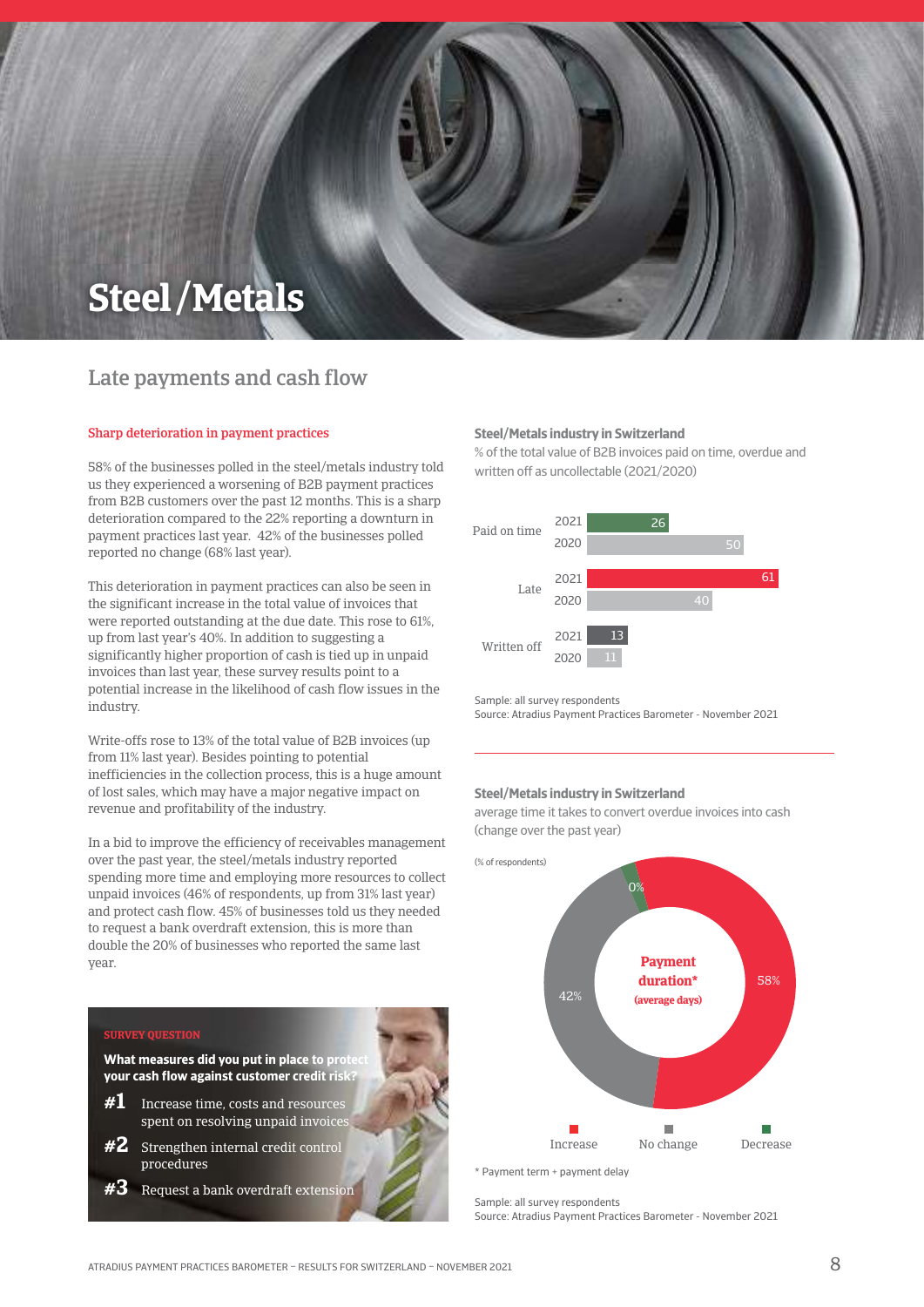## **Steel/ Metals**

## Late payments and cash flow

#### Sharp deterioration in payment practices

58% of the businesses polled in the steel/metals industry told us they experienced a worsening of B2B payment practices from B2B customers over the past 12 months. This is a sharp deterioration compared to the 22% reporting a downturn in payment practices last year. 42% of the businesses polled reported no change (68% last year).

This deterioration in payment practices can also be seen in the significant increase in the total value of invoices that were reported outstanding at the due date. This rose to 61%, up from last year's 40%. In addition to suggesting a significantly higher proportion of cash is tied up in unpaid invoices than last year, these survey results point to a potential increase in the likelihood of cash flow issues in the industry.

Write-offs rose to 13% of the total value of B2B invoices (up from 11% last year). Besides pointing to potential inefficiencies in the collection process, this is a huge amount of lost sales, which may have a major negative impact on revenue and profitability of the industry.

In a bid to improve the efficiency of receivables management over the past year, the steel/metals industry reported spending more time and employing more resources to collect unpaid invoices (46% of respondents, up from 31% last year) and protect cash flow. 45% of businesses told us they needed to request a bank overdraft extension, this is more than double the 20% of businesses who reported the same last year.

## **SURVEY QUESTION What measures did you put in place to prote your cash flow against customer credit risk? #1** Increase time, costs and resources spent on resolving unpaid invoice **#2** Strengthen internal credit control

procedures **#3** Request a bank overdraft extension

#### **Steel/Metals industry in Switzerland**

% of the total value of B2B invoices paid on time, overdue and written off as uncollectable (2021/2020)



sample: all survey respondents source: Atradius Payment Practices Barometer - November 2021

#### **Steel/Metals industry in Switzerland**

average time it takes to convert overdue invoices into cash (change over the past year)

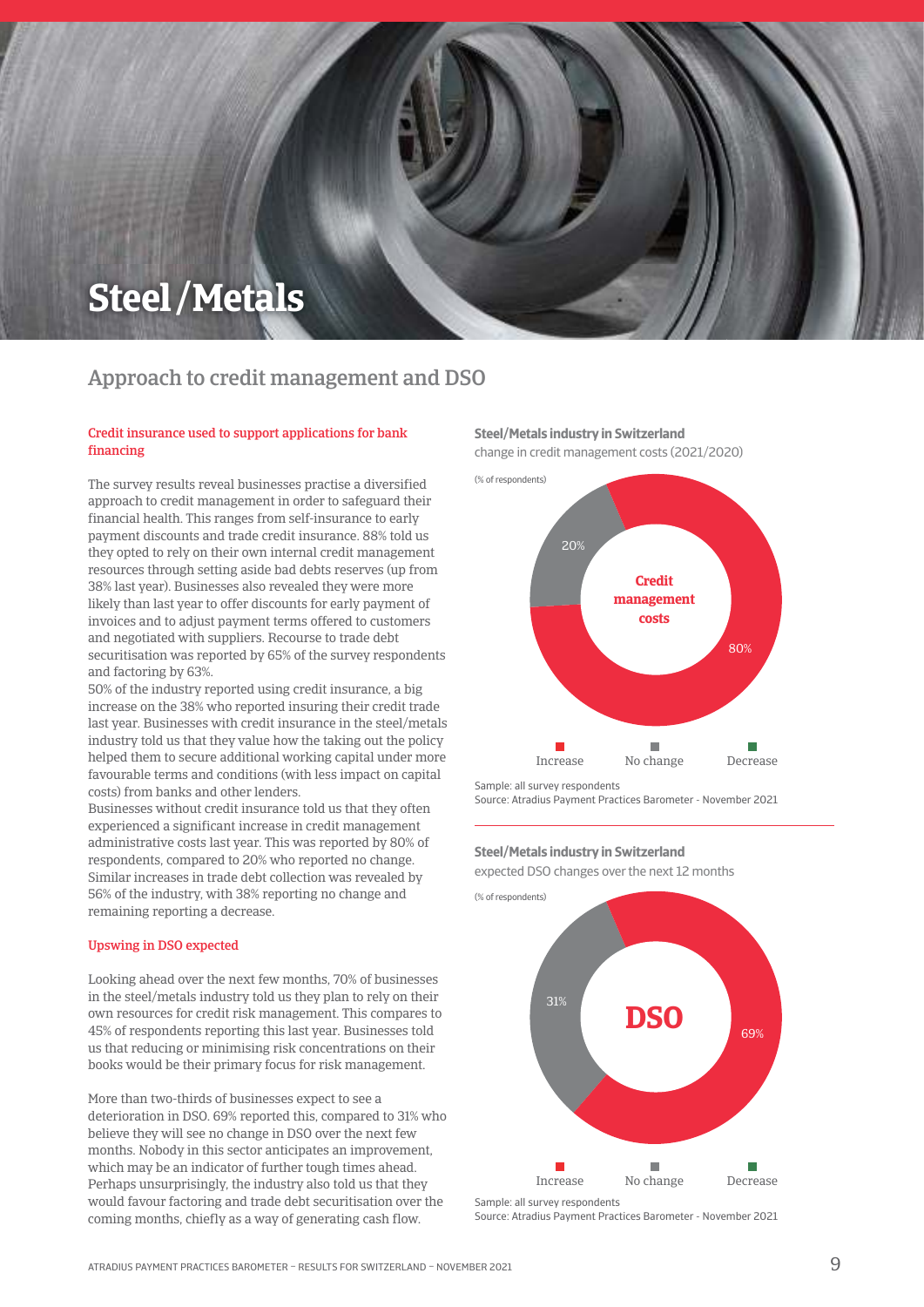## **Steel/ Metals**

## Approach to credit management and DSO

#### Credit insurance used to support applications for bank financing

The survey results reveal businesses practise a diversified approach to credit management in order to safeguard their financial health. This ranges from self-insurance to early payment discounts and trade credit insurance. 88% told us they opted to rely on their own internal credit management resources through setting aside bad debts reserves (up from 38% last year). Businesses also revealed they were more likely than last year to offer discounts for early payment of invoices and to adjust payment terms offered to customers and negotiated with suppliers. Recourse to trade debt securitisation was reported by 65% of the survey respondents and factoring by 63%.

50% of the industry reported using credit insurance, a big increase on the 38% who reported insuring their credit trade last year. Businesses with credit insurance in the steel/metals industry told us that they value how the taking out the policy helped them to secure additional working capital under more favourable terms and conditions (with less impact on capital costs) from banks and other lenders.

Businesses without credit insurance told us that they often experienced a significant increase in credit management administrative costs last year. This was reported by 80% of respondents, compared to 20% who reported no change. Similar increases in trade debt collection was revealed by 56% of the industry, with 38% reporting no change and remaining reporting a decrease.

#### Upswing in DSO expected

Looking ahead over the next few months, 70% of businesses in the steel/metals industry told us they plan to rely on their own resources for credit risk management. This compares to 45% of respondents reporting this last year. Businesses told us that reducing or minimising risk concentrations on their books would be their primary focus for risk management.

More than two-thirds of businesses expect to see a deterioration in DSO. 69% reported this, compared to 31% who believe they will see no change in DSO over the next few months. Nobody in this sector anticipates an improvement, which may be an indicator of further tough times ahead. Perhaps unsurprisingly, the industry also told us that they would favour factoring and trade debt securitisation over the coming months, chiefly as a way of generating cash flow.

#### **Steel/Metals industry in Switzerland**

change in credit management costs (2021/2020)



sample: all survey respondents

source: Atradius Payment Practices Barometer - November 2021

#### **Steel/Metals industry in Switzerland**

expected DSO changes over the next 12 months



source: Atradius Payment Practices Barometer - November 2021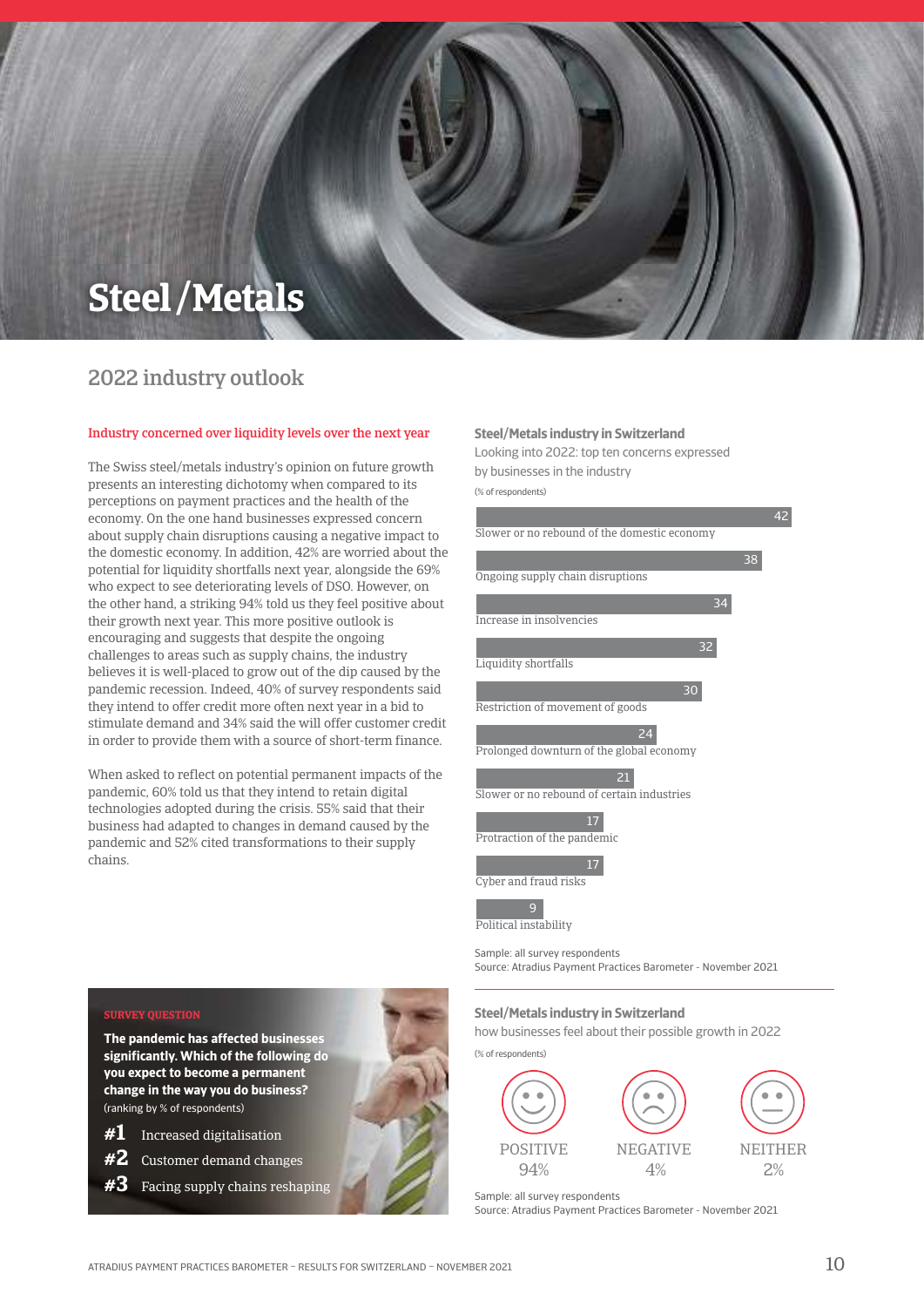## **Steel/ Metals**

## 2022 industry outlook

#### Industry concerned over liquidity levels over the next year

The Swiss steel/metals industry's opinion on future growth presents an interesting dichotomy when compared to its perceptions on payment practices and the health of the economy. On the one hand businesses expressed concern about supply chain disruptions causing a negative impact to the domestic economy. In addition, 42% are worried about the potential for liquidity shortfalls next year, alongside the 69% who expect to see deteriorating levels of DSO. However, on the other hand, a striking 94% told us they feel positive about their growth next year. This more positive outlook is encouraging and suggests that despite the ongoing challenges to areas such as supply chains, the industry believes it is well-placed to grow out of the dip caused by the pandemic recession. Indeed, 40% of survey respondents said they intend to offer credit more often next year in a bid to stimulate demand and 34% said the will offer customer credit in order to provide them with a source of short-term finance.

When asked to reflect on potential permanent impacts of the pandemic, 60% told us that they intend to retain digital technologies adopted during the crisis. 55% said that their business had adapted to changes in demand caused by the pandemic and 52% cited transformations to their supply chains.

#### **Steel/Metals industry in Switzerland**

looking into 2022: top ten concerns expressed by businesses in the industry

(% of respondents)



sample: all survey respondents source: Atradius Payment Practices Barometer - November 2021

#### **Steel/Metals industry in Switzerland**

how businesses feel about their possible growth in 2022



**SURVEY QUESTION** 

**The pandemic has affected businesses significantly. Which of the following do you expect to become a permanent change in the way you do business?**  (ranking by % of respondents)

- **#1** Increased digitalisation
- **#2** Customer demand changes

**#3** Facing supply chains reshaping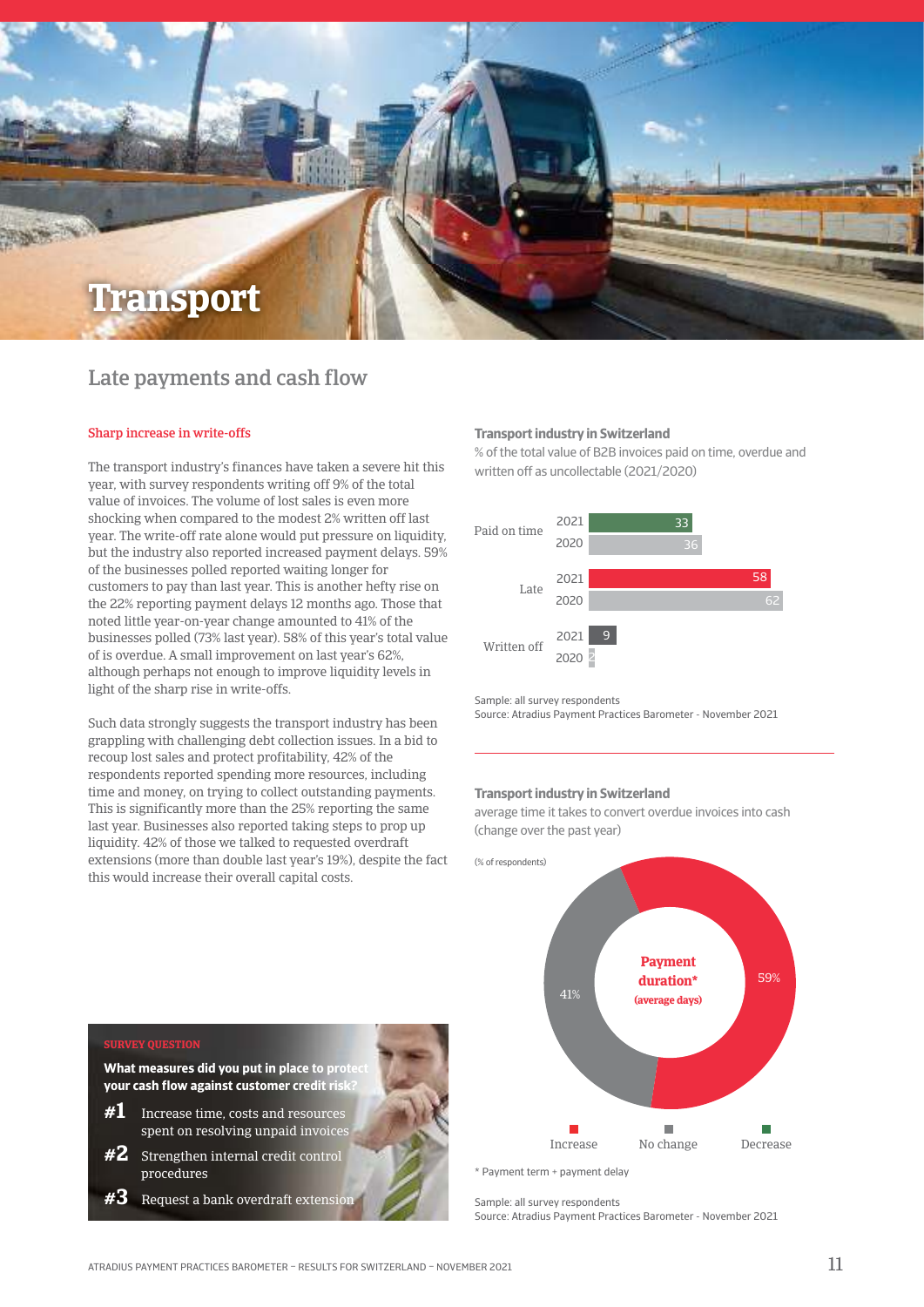

## Late payments and cash flow

#### Sharp increase in write-offs

The transport industry's finances have taken a severe hit this year, with survey respondents writing off 9% of the total value of invoices. The volume of lost sales is even more shocking when compared to the modest 2% written off last year. The write-off rate alone would put pressure on liquidity, but the industry also reported increased payment delays. 59% of the businesses polled reported waiting longer for customers to pay than last year. This is another hefty rise on the 22% reporting payment delays 12 months ago. Those that noted little year-on-year change amounted to 41% of the businesses polled (73% last year). 58% of this year's total value of is overdue. A small improvement on last year's 62%, although perhaps not enough to improve liquidity levels in light of the sharp rise in write-offs.

Such data strongly suggests the transport industry has been grappling with challenging debt collection issues. In a bid to recoup lost sales and protect profitability, 42% of the respondents reported spending more resources, including time and money, on trying to collect outstanding payments. This is significantly more than the 25% reporting the same last year. Businesses also reported taking steps to prop up liquidity. 42% of those we talked to requested overdraft extensions (more than double last year's 19%), despite the fact this would increase their overall capital costs.

#### **Transport industry in Switzerland**

% of the total value of B2B invoices paid on time, overdue and written off as uncollectable (2021/2020)



sample: all survey respondents

source: Atradius Payment Practices Barometer - November 2021

#### **Transport industry in Switzerland**

average time it takes to convert overdue invoices into cash (change over the past year)



sample: all survey respondents source: Atradius Payment Practices Barometer - November 2021

#### **SURVEY QUEST**

**What measures did you put in place to prote your cash flow against customer credit risk?**

- **#1** Increase time, costs and resources spent on resolving unpaid invoice
- **#2** Strengthen internal credit control procedures
- **#3** Request a bank overdraft extension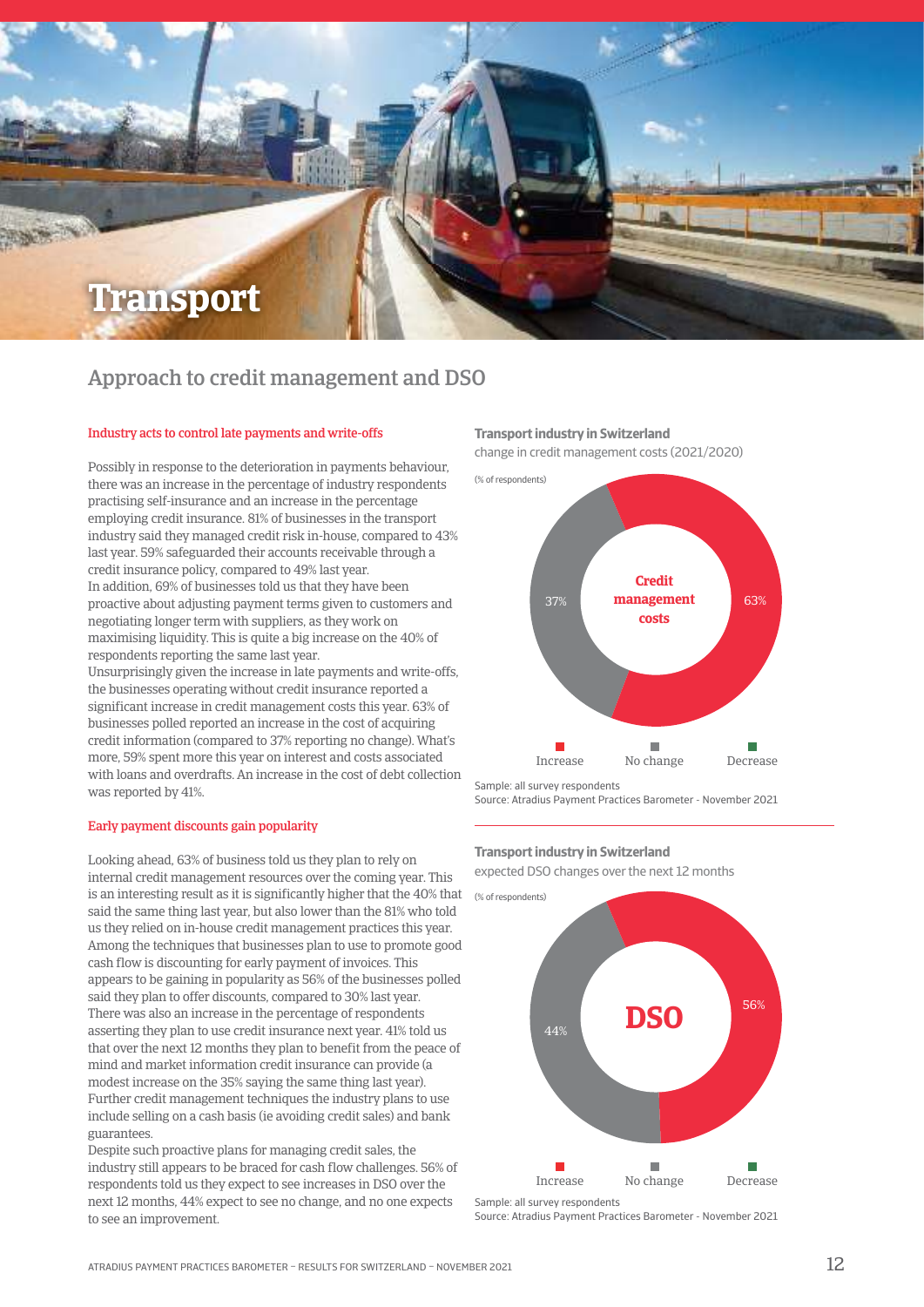

### Approach to credit management and DSO

#### Industry acts to control late payments and write-offs

Possibly in response to the deterioration in payments behaviour, there was an increase in the percentage of industry respondents practising self-insurance and an increase in the percentage employing credit insurance. 81% of businesses in the transport industry said they managed credit risk in-house, compared to 43% last year. 59% safeguarded their accounts receivable through a credit insurance policy, compared to 49% last year. In addition, 69% of businesses told us that they have been proactive about adjusting payment terms given to customers and negotiating longer term with suppliers, as they work on maximising liquidity. This is quite a big increase on the 40% of respondents reporting the same last year. Unsurprisingly given the increase in late payments and write-offs,

the businesses operating without credit insurance reported a significant increase in credit management costs this year. 63% of businesses polled reported an increase in the cost of acquiring credit information (compared to 37% reporting no change). What's more, 59% spent more this year on interest and costs associated with loans and overdrafts. An increase in the cost of debt collection was reported by 41%.

#### Early payment discounts gain popularity

is an interesting result as it is significantly higher that the  $40\%$  that  $\quad$   $\%$  of respondents) Looking ahead, 63% of business told us they plan to rely on internal credit management resources over the coming year. This said the same thing last year, but also lower than the 81% who told us they relied on in-house credit management practices this year. Among the techniques that businesses plan to use to promote good cash flow is discounting for early payment of invoices. This appears to be gaining in popularity as 56% of the businesses polled said they plan to offer discounts, compared to 30% last year. There was also an increase in the percentage of respondents asserting they plan to use credit insurance next year. 41% told us that over the next 12 months they plan to benefit from the peace of mind and market information credit insurance can provide (a modest increase on the 35% saying the same thing last year). Further credit management techniques the industry plans to use include selling on a cash basis (ie avoiding credit sales) and bank guarantees.

Despite such proactive plans for managing credit sales, the industry still appears to be braced for cash flow challenges. 56% of respondents told us they expect to see increases in DSO over the next 12 months, 44% expect to see no change, and no one expects to see an improvement.

#### **Transport industry in Switzerland**

change in credit management costs (2021/2020)



sample: all survey respondents

source: Atradius Payment Practices Barometer - November 2021

#### **Transport industry in Switzerland**

expected DSO changes over the next 12 months



source: Atradius Payment Practices Barometer - November 2021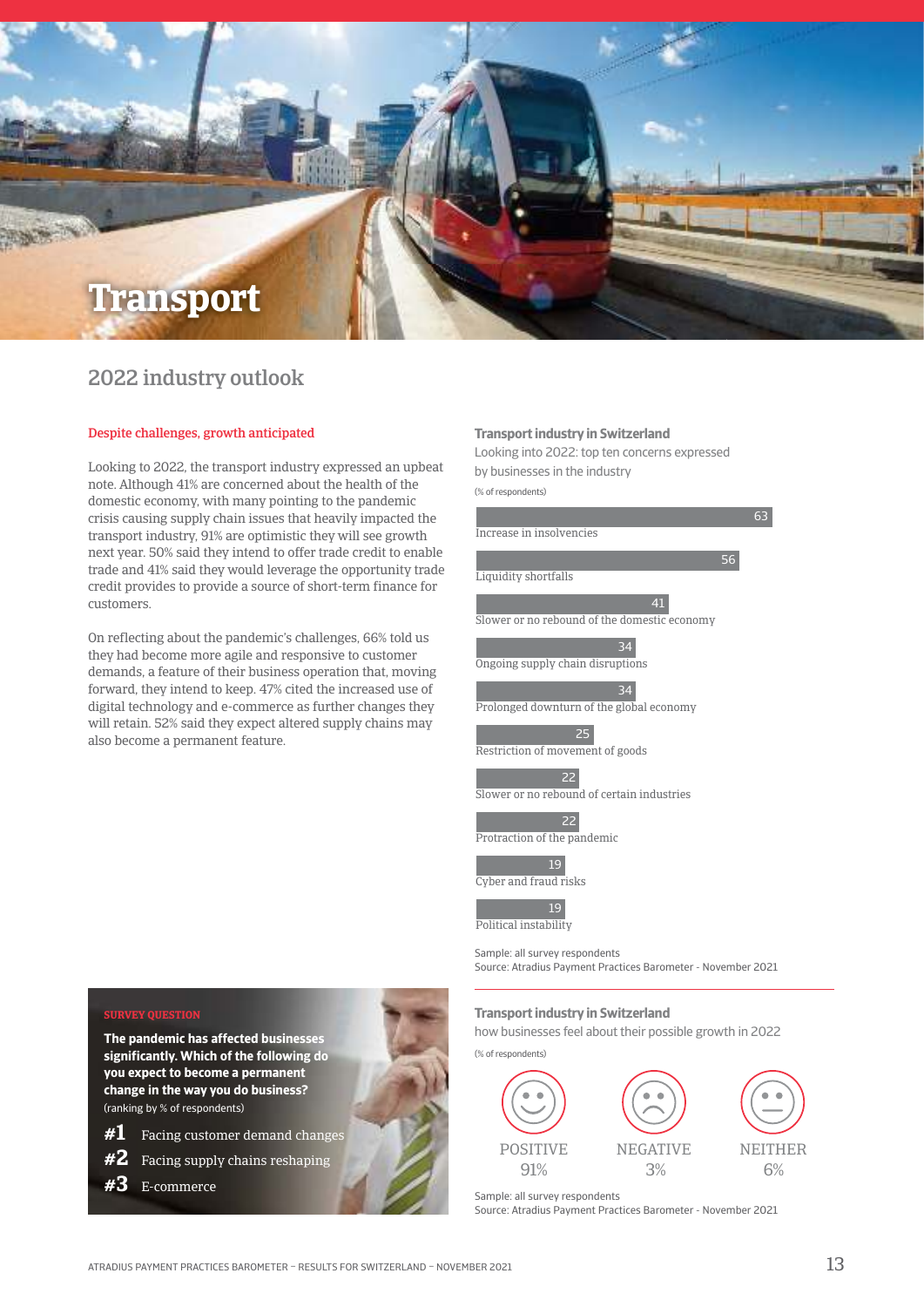

## 2022 industry outlook

#### Despite challenges, growth anticipated

Looking to 2022, the transport industry expressed an upbeat note. Although 41% are concerned about the health of the domestic economy, with many pointing to the pandemic crisis causing supply chain issues that heavily impacted the transport industry, 91% are optimistic they will see growth next year. 50% said they intend to offer trade credit to enable trade and 41% said they would leverage the opportunity trade credit provides to provide a source of short-term finance for customers.

On reflecting about the pandemic's challenges, 66% told us they had become more agile and responsive to customer demands, a feature of their business operation that, moving forward, they intend to keep. 47% cited the increased use of digital technology and e-commerce as further changes they will retain. 52% said they expect altered supply chains may also become a permanent feature.

#### **Transport industry in Switzerland**

looking into 2022: top ten concerns expressed by businesses in the industry

(% of respondents)



#### **SURVEY QUESTION**

**The pandemic has affected businesses significantly. Which of the following do you expect to become a permanent change in the way you do business?**  (ranking by % of respondents)

- **#1** Facing customer demand changes
- **#2** Facing supply chains reshaping
- **#3** e-commerce

#### **Transport industry in Switzerland**

how businesses feel about their possible growth in 2022

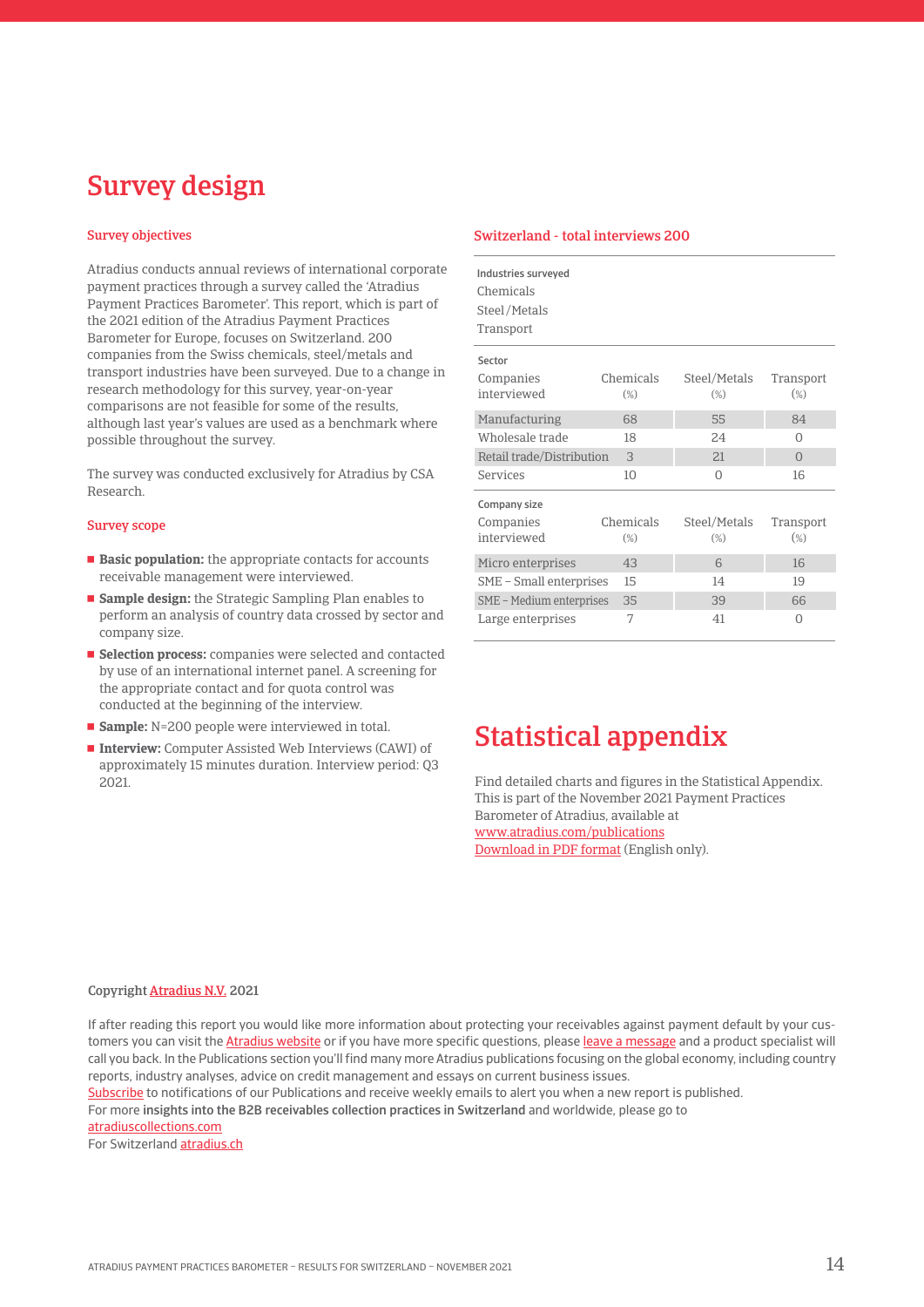## Survey design

#### Survey objectives

Atradius conducts annual reviews of international corporate payment practices through a survey called the 'Atradius Payment Practices Barometer'. This report, which is part of the 2021 edition of the Atradius Payment Practices Barometer for Europe, focuses on Switzerland. 200 companies from the Swiss chemicals, steel/metals and transport industries have been surveyed. Due to a change in research methodology for this survey, year-on-year comparisons are not feasible for some of the results, although last year's values are used as a benchmark where possible throughout the survey.

The survey was conducted exclusively for Atradius by CSA Research.

#### Survey scope

- **Basic population:** the appropriate contacts for accounts receivable management were interviewed.
- **Sample design:** the Strategic Sampling Plan enables to perform an analysis of country data crossed by sector and company size.
- **Selection process:** companies were selected and contacted by use of an international internet panel. A screening for the appropriate contact and for quota control was conducted at the beginning of the interview.
- **Sample:** N=200 people were interviewed in total.
- **Interview:** Computer Assisted Web Interviews (CAWI) of approximately 15 minutes duration. Interview period: Q3 2021.

#### Switzerland - total interviews 200

| Industries surveyed<br>Chemicals<br>Steel/Metals<br>Transport |                     |                        |                     |
|---------------------------------------------------------------|---------------------|------------------------|---------------------|
| Sector                                                        |                     |                        |                     |
| Companies<br>interviewed                                      | Chemicals<br>$(\%)$ | Steel/Metals<br>$(\%)$ | Transport<br>$(\%)$ |
| Manufacturing                                                 | 68                  | 55                     | 84                  |
| Wholesale trade                                               | 18                  | 2.4                    | O                   |
| Retail trade/Distribution                                     | 3                   | 21                     | $\Omega$            |
| Services                                                      | 10                  | 0                      | 16                  |
| Company size                                                  |                     |                        |                     |
| Companies                                                     | Chemicals           | Steel/Metals           | Transport           |
| interviewed                                                   | $(\%)$              | $(\%)$                 | $(\%)$              |
| Micro enterprises                                             | 43                  | 6                      | 16                  |
| SME - Small enterprises                                       | 15                  | 14                     | 19                  |
| SME - Medium enterprises                                      | 35                  | 39                     | 66                  |
| Large enterprises                                             | 7                   | 41                     | 0                   |

## Statistical appendix

Find detailed charts and figures in the Statistical Appendix. This is part of the November 2021 Payment Practices Barometer of Atradius, available at [www.atradius.com/publications](https://group.atradius.com/publications/) [Download in PDF format](https://group.atradius.com/documents/ppb21_stat_app_we.pdf ) (English only).

#### Copyright [Atradius N.V.](https://group.atradius.com/) 2021

If after reading this report you would like more information about protecting your receivables against payment default by your customers you can visit the [Atradius website](https://group.atradius.com/) or if you have more specific questions, please [leave a message](https://group.atradius.com/contact-us/) and a product specialist will call you back. In the Publications section you'll find many more Atradius publications focusing on the global economy, including country reports, industry analyses, advice on credit management and essays on current business issues.

Subscribe to notifications of our Publications and receive weekly emails to alert you when a new report is published.

for more insights into the B2B receivables collection practices in Switzerland and worldwide, please go to

[atradiuscollections.com](https://atradiuscollections.com/global/)

For Switzerland **atradius.ch**